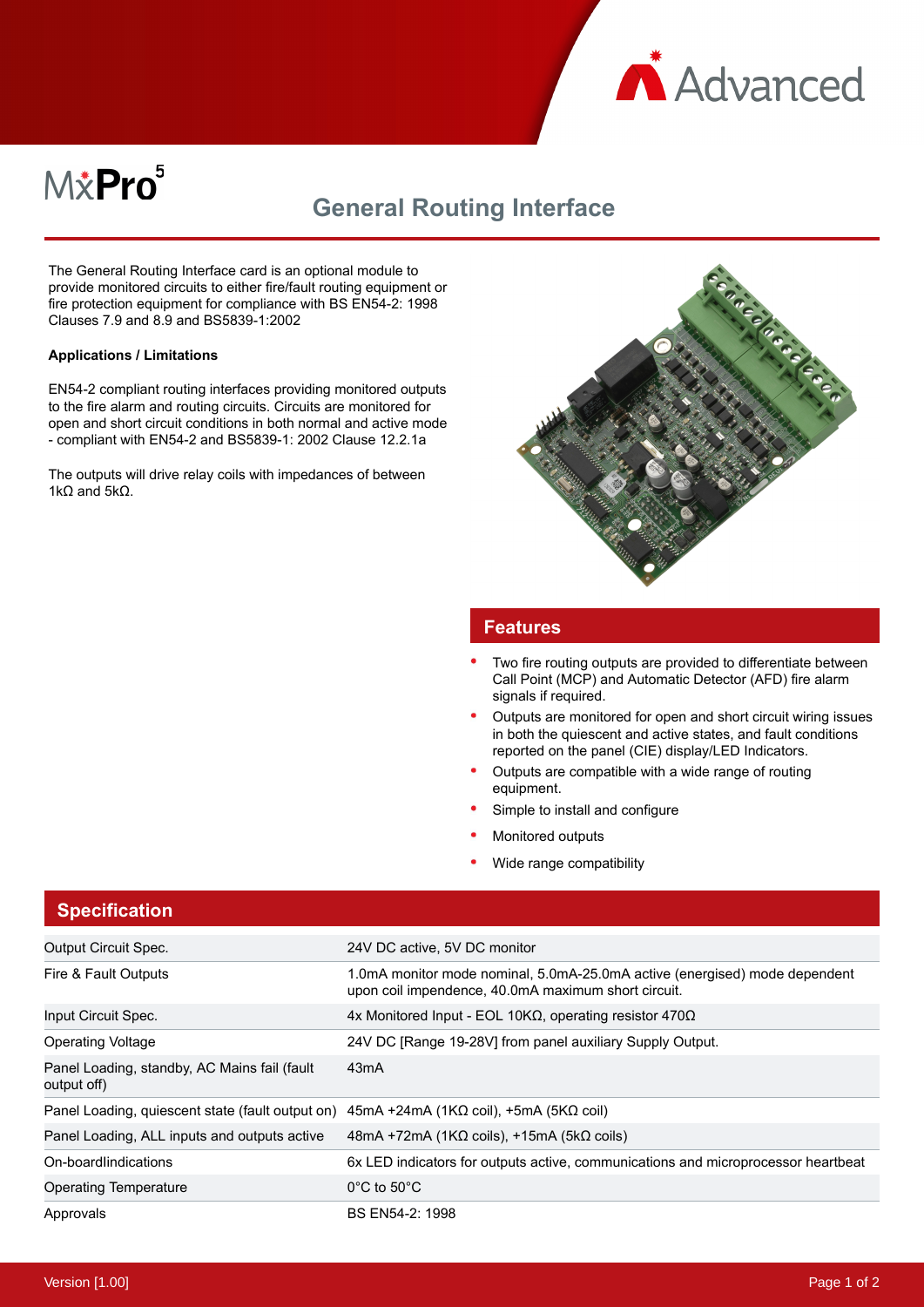

# M&Pro<sup>5</sup>

## **General Routing Interface**

The General Routing Interface card is an optional module to provide monitored circuits to either fire/fault routing equipment or fire protection equipment for compliance with BS EN54-2: 1998 Clauses 7.9 and 8.9 and BS5839-1:2002

#### **Applications / Limitations**

EN54-2 compliant routing interfaces providing monitored outputs to the fire alarm and routing circuits. Circuits are monitored for open and short circuit conditions in both normal and active mode - compliant with EN54-2 and BS5839-1: 2002 Clause 12.2.1a

The outputs will drive relay coils with impedances of between 1kΩ and 5kΩ.



#### **Features**

- Two fire routing outputs are provided to differentiate between Call Point (MCP) and Automatic Detector (AFD) fire alarm signals if required.
- Outputs are monitored for open and short circuit wiring issues in both the quiescent and active states, and fault conditions reported on the panel (CIE) display/LED Indicators.
- Outputs are compatible with a wide range of routing equipment.
- Simple to install and configure
- Monitored outputs
- Wide range compatibility

### **Specification**

| <b>Output Circuit Spec.</b>                                                                                  | 24V DC active, 5V DC monitor                                                                                                      |
|--------------------------------------------------------------------------------------------------------------|-----------------------------------------------------------------------------------------------------------------------------------|
| Fire & Fault Outputs                                                                                         | 1.0mA monitor mode nominal, 5.0mA-25.0mA active (energised) mode dependent<br>upon coil impendence, 40.0mA maximum short circuit. |
| Input Circuit Spec.                                                                                          | 4x Monitored Input - EOL 10ΚΩ, operating resistor 470Ω                                                                            |
| <b>Operating Voltage</b>                                                                                     | 24V DC [Range 19-28V] from panel auxiliary Supply Output.                                                                         |
| Panel Loading, standby, AC Mains fail (fault<br>output off)                                                  | 43 <sub>m</sub> A                                                                                                                 |
| Panel Loading, quiescent state (fault output on) $45mA + 24mA$ (1K $\Omega$ coil), $+5mA$ (5K $\Omega$ coil) |                                                                                                                                   |
| Panel Loading, ALL inputs and outputs active                                                                 | $48mA + 72mA$ (1K $\Omega$ coils), +15mA (5k $\Omega$ coils)                                                                      |
| On-boardlindications                                                                                         | 6x LED indicators for outputs active, communications and microprocessor heartbeat                                                 |
| <b>Operating Temperature</b>                                                                                 | $0^{\circ}$ C to 50 $^{\circ}$ C                                                                                                  |
| Approvals                                                                                                    | BS EN54-2: 1998                                                                                                                   |